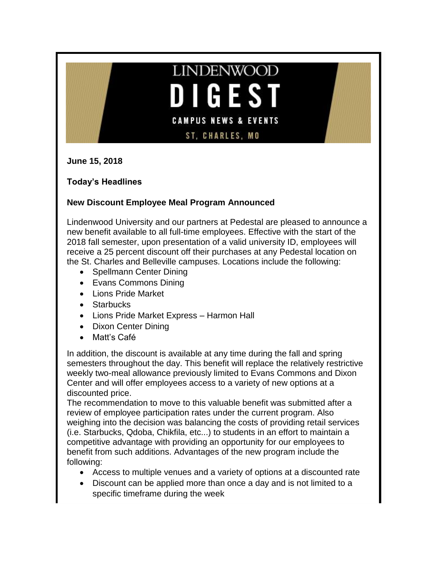# **LINDENWOOD** GEST  $\blacksquare$ **CAMPUS NEWS & EVENTS ST, CHARLES, MO**

**June 15, 2018**

**Today's Headlines**

# **New Discount Employee Meal Program Announced**

Lindenwood University and our partners at Pedestal are pleased to announce a new benefit available to all full-time employees. Effective with the start of the 2018 fall semester, upon presentation of a valid university ID, employees will receive a 25 percent discount off their purchases at any Pedestal location on the St. Charles and Belleville campuses. Locations include the following:

- Spellmann Center Dining
- Evans Commons Dining
- Lions Pride Market
- Starbucks
- Lions Pride Market Express Harmon Hall
- Dixon Center Dining
- Matt's Café

In addition, the discount is available at any time during the fall and spring semesters throughout the day. This benefit will replace the relatively restrictive weekly two-meal allowance previously limited to Evans Commons and Dixon Center and will offer employees access to a variety of new options at a discounted price.

The recommendation to move to this valuable benefit was submitted after a review of employee participation rates under the current program. Also weighing into the decision was balancing the costs of providing retail services (i.e. Starbucks, Qdoba, Chikfila, etc...) to students in an effort to maintain a competitive advantage with providing an opportunity for our employees to benefit from such additions. Advantages of the new program include the following:

- Access to multiple venues and a variety of options at a discounted rate
- Discount can be applied more than once a day and is not limited to a specific timeframe during the week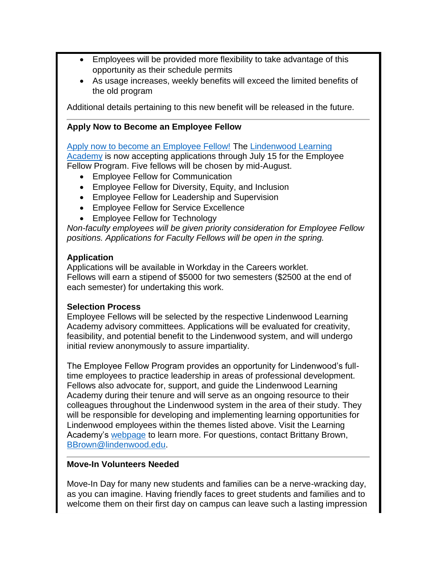- Employees will be provided more flexibility to take advantage of this opportunity as their schedule permits
- As usage increases, weekly benefits will exceed the limited benefits of the old program

Additional details pertaining to this new benefit will be released in the future.

### **Apply Now to Become an Employee Fellow**

[Apply now to become an Employee Fellow!](https://www.myworkday.com/lindenwood/d/inst/15$158872/9925$3843.htmld) The Lindenwood Learning [Academy](http://www.lindenwood.edu/human-resources/lindenwood-learning-academy/fellows/) is now accepting applications through July 15 for the Employee Fellow Program. Five fellows will be chosen by mid-August.

- Employee Fellow for Communication
- Employee Fellow for Diversity, Equity, and Inclusion
- Employee Fellow for Leadership and Supervision
- Employee Fellow for Service Excellence
- Employee Fellow for Technology

*Non-faculty employees will be given priority consideration for Employee Fellow positions. Applications for Faculty Fellows will be open in the spring.* 

#### **Application**

Applications will be available in Workday in the Careers worklet. Fellows will earn a stipend of \$5000 for two semesters (\$2500 at the end of each semester) for undertaking this work.

#### **Selection Process**

Employee Fellows will be selected by the respective Lindenwood Learning Academy advisory committees. Applications will be evaluated for creativity, feasibility, and potential benefit to the Lindenwood system, and will undergo initial review anonymously to assure impartiality.

The Employee Fellow Program provides an opportunity for Lindenwood's fulltime employees to practice leadership in areas of professional development. Fellows also advocate for, support, and guide the Lindenwood Learning Academy during their tenure and will serve as an ongoing resource to their colleagues throughout the Lindenwood system in the area of their study. They will be responsible for developing and implementing learning opportunities for Lindenwood employees within the themes listed above. Visit the Learning Academy's [webpage](http://www.lindenwood.edu/human-resources/lindenwood-learning-academy/fellows/) to learn more. For questions, contact Brittany Brown, [BBrown@lindenwood.edu.](mailto:BBrown@lindenwood.edu)

#### **Move-In Volunteers Needed**

Move-In Day for many new students and families can be a nerve-wracking day, as you can imagine. Having friendly faces to greet students and families and to welcome them on their first day on campus can leave such a lasting impression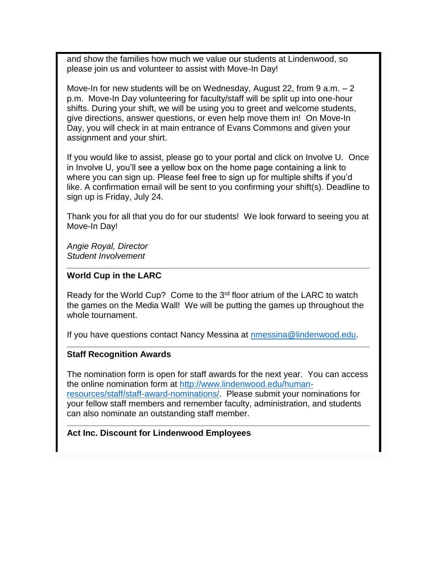and show the families how much we value our students at Lindenwood, so please join us and volunteer to assist with Move-In Day!

Move-In for new students will be on Wednesday, August 22, from 9 a.m. – 2 p.m. Move-In Day volunteering for faculty/staff will be split up into one-hour shifts. During your shift, we will be using you to greet and welcome students, give directions, answer questions, or even help move them in! On Move-In Day, you will check in at main entrance of Evans Commons and given your assignment and your shirt.

If you would like to assist, please go to your portal and click on Involve U. Once in Involve U, you'll see a yellow box on the home page containing a link to where you can sign up. Please feel free to sign up for multiple shifts if you'd like. A confirmation email will be sent to you confirming your shift(s). Deadline to sign up is Friday, July 24.

Thank you for all that you do for our students! We look forward to seeing you at Move-In Day!

*Angie Royal, Director Student Involvement*

#### **World Cup in the LARC**

Ready for the World Cup? Come to the  $3<sup>rd</sup>$  floor atrium of the LARC to watch the games on the Media Wall! We will be putting the games up throughout the whole tournament.

If you have questions contact Nancy Messina at [nmessina@lindenwood.edu.](mailto:nmessina@lindenwood.edu)

#### **Staff Recognition Awards**

The nomination form is open for staff awards for the next year. You can access the online nomination form at [http://www.lindenwood.edu/human](http://www.lindenwood.edu/human-resources/staff/staff-award-nominations/)[resources/staff/staff-award-nominations/.](http://www.lindenwood.edu/human-resources/staff/staff-award-nominations/) Please submit your nominations for your fellow staff members and remember faculty, administration, and students can also nominate an outstanding staff member.

#### **Act Inc. Discount for Lindenwood Employees**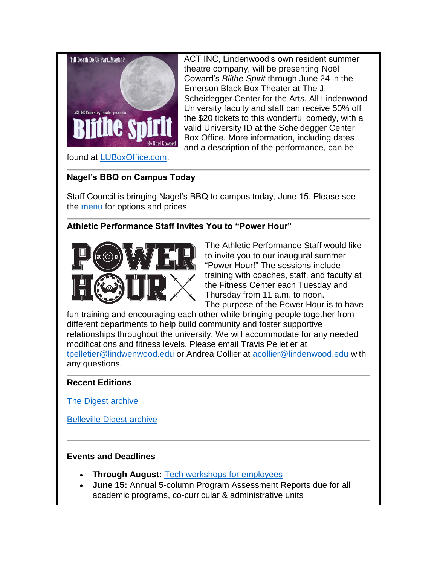

ACT INC, Lindenwood's own resident summer theatre company, will be presenting Noël Coward's *Blithe Spirit* through June 24 in the Emerson Black Box Theater at The J. Scheidegger Center for the Arts. All Lindenwood University faculty and staff can receive 50% off the \$20 tickets to this wonderful comedy, with a valid University ID at the Scheidegger Center Box Office. More information, including dates and a description of the performance, can be

found at [LUBoxOffice.com.](http://www.lindenwood.edu/j-scheidegger-center-for-the-arts/)

# **Nagel's BBQ on Campus Today**

Staff Council is bringing Nagel's BBQ to campus today, June 15. Please see the [menu](http://felix.lindenwood.edu/newsletter/2018_06/bbq.pdf) for options and prices.

# **Athletic Performance Staff Invites You to "Power Hour"**



The Athletic Performance Staff would like to invite you to our inaugural summer "Power Hour!" The sessions include training with coaches, staff, and faculty at the Fitness Center each Tuesday and Thursday from 11 a.m. to noon. The purpose of the Power Hour is to have

fun training and encouraging each other while bringing people together from different departments to help build community and foster supportive relationships throughout the university. We will accommodate for any needed modifications and fitness levels. Please email Travis Pelletier at [tpelletier@lindwenwood.edu](mailto:tpelletier@lindwenwood.edu) or Andrea Collier at [acollier@lindenwood.edu](mailto:acollier@lindenwood.edu) with any questions.

## **Recent Editions**

[The Digest archive](http://www.lindenwood.edu/about/digest-archives/)

[Belleville Digest archive](http://www.lindenwood.edu/belleville/about/lindenwood-belleville-digest-archives/)

## **Events and Deadlines**

- **Through August:** [Tech workshops for employees](http://felix.lindenwood.edu/newsletter/2018_05/summer2018catalog.pdf)
- **June 15:** Annual 5-column Program Assessment Reports due for all academic programs, co-curricular & administrative units